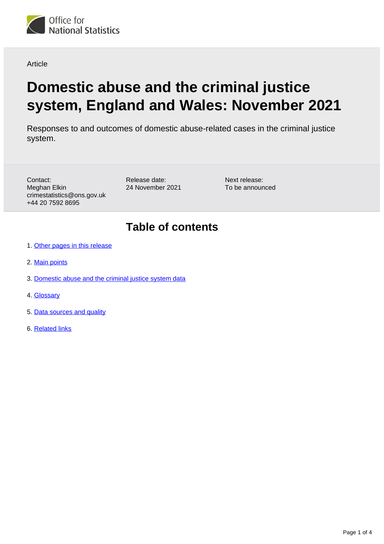

#### Article

# **Domestic abuse and the criminal justice system, England and Wales: November 2021**

Responses to and outcomes of domestic abuse-related cases in the criminal justice system.

Contact: Meghan Elkin crimestatistics@ons.gov.uk +44 20 7592 8695

Release date: 24 November 2021 Next release: To be announced

### **Table of contents**

- 1. [Other pages in this release](#page-1-0)
- 2. [Main points](#page-1-1)
- 3. [Domestic abuse and the criminal justice system data](#page-2-0)
- 4. [Glossary](#page-2-1)
- 5. [Data sources and quality](#page-3-0)
- 6. [Related links](#page-3-1)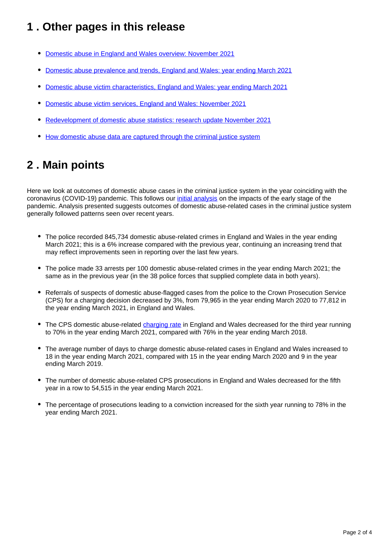# <span id="page-1-0"></span>**1 . Other pages in this release**

- [Domestic abuse in England and Wales overview: November 2021](https://www.ons.gov.uk/peoplepopulationandcommunity/crimeandjustice/bulletins/domesticabuseinenglandandwalesoverview/november2021)
- [Domestic abuse prevalence and trends, England and Wales: year ending March 2021](https://www.ons.gov.uk/peoplepopulationandcommunity/crimeandjustice/articles/domesticabuseprevalenceandtrendsenglandandwales/yearendingmarch2021)
- [Domestic abuse victim characteristics, England and Wales: year ending March 2021](https://www.ons.gov.uk/peoplepopulationandcommunity/crimeandjustice/articles/domesticabusevictimcharacteristicsenglandandwales/yearendingmarch2021)
- [Domestic abuse victim services, England and Wales: November 2021](https://www.ons.gov.uk/peoplepopulationandcommunity/crimeandjustice/articles/domesticabusevictimservicesenglandandwales/november2021)
- [Redevelopment of domestic abuse statistics: research update November 2021](https://www.ons.gov.uk/peoplepopulationandcommunity/crimeandjustice/articles/redevelopmentofdomesticabusestatistics/researchupdatenovember2021)
- [How domestic abuse data are captured through the criminal justice system](https://www.ons.gov.uk/peoplepopulationandcommunity/crimeandjustice/articles/howdomesticabusedataarecapturedthroughthecriminaljusticesystem/2019-11-25)

# <span id="page-1-1"></span>**2 . Main points**

Here we look at outcomes of domestic abuse cases in the criminal justice system in the year coinciding with the coronavirus (COVID-19) pandemic. This follows our *[initial analysis](https://www.ons.gov.uk/peoplepopulationandcommunity/crimeandjustice/articles/domesticabuseduringthecoronaviruscovid19pandemicenglandandwales/november2020)* on the impacts of the early stage of the pandemic. Analysis presented suggests outcomes of domestic abuse-related cases in the criminal justice system generally followed patterns seen over recent years.

- The police recorded 845,734 domestic abuse-related crimes in England and Wales in the year ending March 2021; this is a 6% increase compared with the previous year, continuing an increasing trend that may reflect improvements seen in reporting over the last few years.
- The police made 33 arrests per 100 domestic abuse-related crimes in the year ending March 2021; the same as in the previous year (in the 38 police forces that supplied complete data in both years).
- Referrals of suspects of domestic abuse-flagged cases from the police to the Crown Prosecution Service (CPS) for a charging decision decreased by 3%, from 79,965 in the year ending March 2020 to 77,812 in the year ending March 2021, in England and Wales.
- The CPS domestic abuse-related [charging rate](https://www.ons.gov.uk/peoplepopulationandcommunity/crimeandjustice/articles/domesticabuseandthecriminaljusticesystemenglandandwales/november2021#glossary) in England and Wales decreased for the third year running to 70% in the year ending March 2021, compared with 76% in the year ending March 2018.
- The average number of days to charge domestic abuse-related cases in England and Wales increased to 18 in the year ending March 2021, compared with 15 in the year ending March 2020 and 9 in the year ending March 2019.
- The number of domestic abuse-related CPS prosecutions in England and Wales decreased for the fifth year in a row to 54,515 in the year ending March 2021.
- The percentage of prosecutions leading to a conviction increased for the sixth year running to 78% in the year ending March 2021.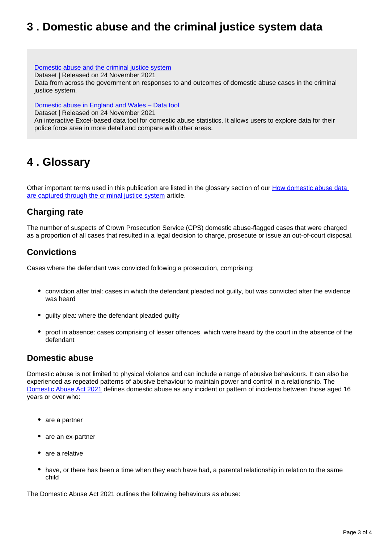### <span id="page-2-0"></span>**3 . Domestic abuse and the criminal justice system data**

#### [Domestic abuse and the criminal justice system](https://www.ons.gov.uk/peoplepopulationandcommunity/crimeandjustice/datasets/domesticabuseandthecriminaljusticesystemappendixtables)

Dataset | Released on 24 November 2021

Data from across the government on responses to and outcomes of domestic abuse cases in the criminal justice system.

#### [Domestic abuse in England and Wales – Data tool](https://www.ons.gov.uk/peoplepopulationandcommunity/crimeandjustice/datasets/domesticabuseinenglandandwalesdatatool)

Dataset | Released on 24 November 2021

An interactive Excel-based data tool for domestic abuse statistics. It allows users to explore data for their police force area in more detail and compare with other areas.

### <span id="page-2-1"></span>**4 . Glossary**

Other important terms used in this publication are listed in the glossary section of our [How domestic abuse data](https://www.ons.gov.uk/peoplepopulationandcommunity/crimeandjustice/articles/howdomesticabusedataarecapturedthroughthecriminaljusticesystem/2019-11-25)  [are captured through the criminal justice system](https://www.ons.gov.uk/peoplepopulationandcommunity/crimeandjustice/articles/howdomesticabusedataarecapturedthroughthecriminaljusticesystem/2019-11-25) article.

### **Charging rate**

The number of suspects of Crown Prosecution Service (CPS) domestic abuse-flagged cases that were charged as a proportion of all cases that resulted in a legal decision to charge, prosecute or issue an out-of-court disposal.

### **Convictions**

Cases where the defendant was convicted following a prosecution, comprising:

- conviction after trial: cases in which the defendant pleaded not guilty, but was convicted after the evidence was heard
- quilty plea: where the defendant pleaded quilty
- proof in absence: cases comprising of lesser offences, which were heard by the court in the absence of the defendant

#### **Domestic abuse**

Domestic abuse is not limited to physical violence and can include a range of abusive behaviours. It can also be experienced as repeated patterns of abusive behaviour to maintain power and control in a relationship. The [Domestic Abuse Act 2021](https://www.legislation.gov.uk/ukpga/2021/17/part/1/enacted) defines domestic abuse as any incident or pattern of incidents between those aged 16 years or over who:

- are a partner
- are an ex-partner
- are a relative
- have, or there has been a time when they each have had, a parental relationship in relation to the same child

The Domestic Abuse Act 2021 outlines the following behaviours as abuse: